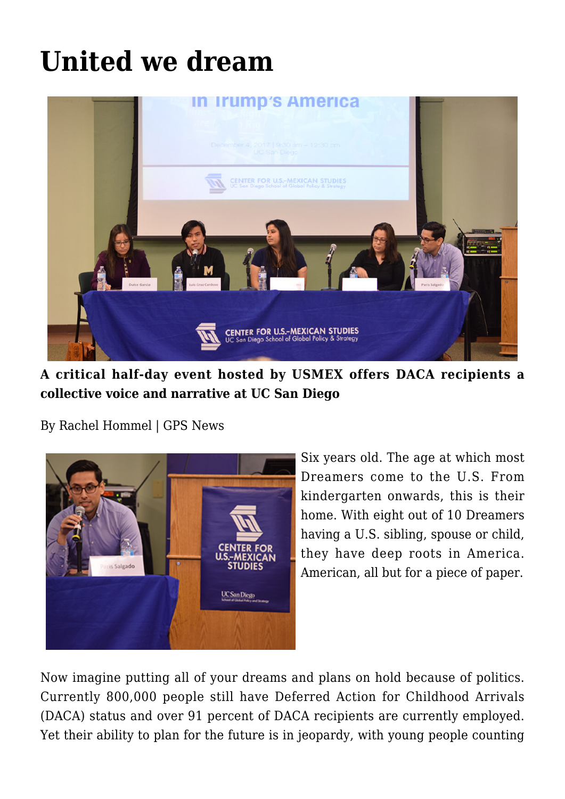## **[United we dream](https://gpsnews.ucsd.edu/united-we-dream/)**



**A critical half-day event hosted by USMEX offers DACA recipients a collective voice and narrative at UC San Diego**

By Rachel Hommel | GPS News



Six years old. The age at which most Dreamers come to the U.S. From kindergarten onwards, this is their home. With eight out of 10 Dreamers having a U.S. sibling, spouse or child, they have deep roots in America. American, all but for a piece of paper.

Now imagine putting all of your dreams and plans on hold because of politics. Currently 800,000 people still have Deferred Action for Childhood Arrivals (DACA) status and over 91 percent of DACA recipients are currently employed. Yet their ability to plan for the future is in jeopardy, with young people counting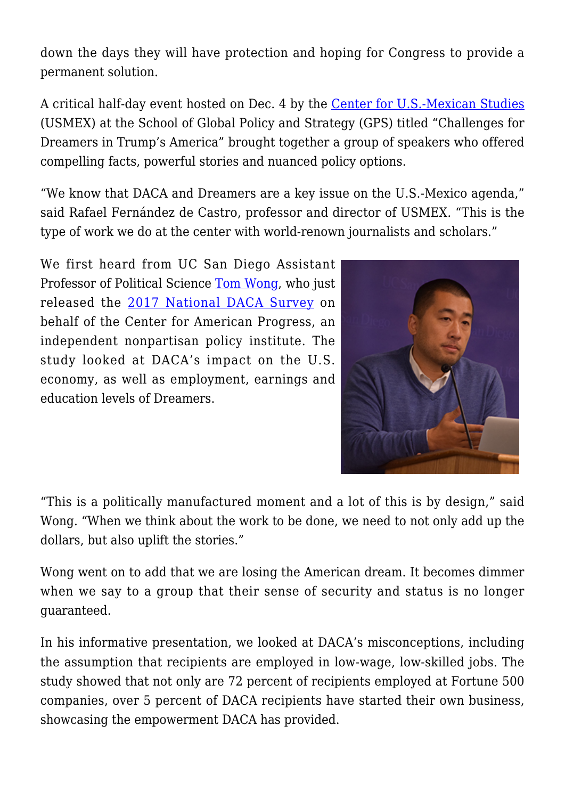down the days they will have protection and hoping for Congress to provide a permanent solution.

A critical half-day event hosted on Dec. 4 by the [Center for U.S.-Mexican Studies](https://usmex.ucsd.edu/) (USMEX) at the School of Global Policy and Strategy (GPS) titled "Challenges for Dreamers in Trump's America" brought together a group of speakers who offered compelling facts, powerful stories and nuanced policy options.

"We know that DACA and Dreamers are a key issue on the U.S.-Mexico agenda," said Rafael Fernández de Castro, professor and director of USMEX. "This is the type of work we do at the center with world-renown journalists and scholars."

We first heard from UC San Diego Assistant Professor of Political Science [Tom Wong](https://polisci.ucsd.edu/about-our-people/faculty/faculty-directory/currently-active-faculty/wong-profile.html), who just released the [2017 National DACA Survey](https://www.americanprogress.org/issues/immigration/news/2017/08/28/437956/daca-recipients-economic-educational-gains-continue-grow/) on behalf of the Center for American Progress, an independent nonpartisan policy institute. The study looked at DACA's impact on the U.S. economy, as well as employment, earnings and education levels of Dreamers.



"This is a politically manufactured moment and a lot of this is by design," said Wong. "When we think about the work to be done, we need to not only add up the dollars, but also uplift the stories."

Wong went on to add that we are losing the American dream. It becomes dimmer when we say to a group that their sense of security and status is no longer guaranteed.

In his informative presentation, we looked at DACA's misconceptions, including the assumption that recipients are employed in low-wage, low-skilled jobs. The study showed that not only are 72 percent of recipients employed at Fortune 500 companies, over 5 percent of DACA recipients have started their own business, showcasing the empowerment DACA has provided.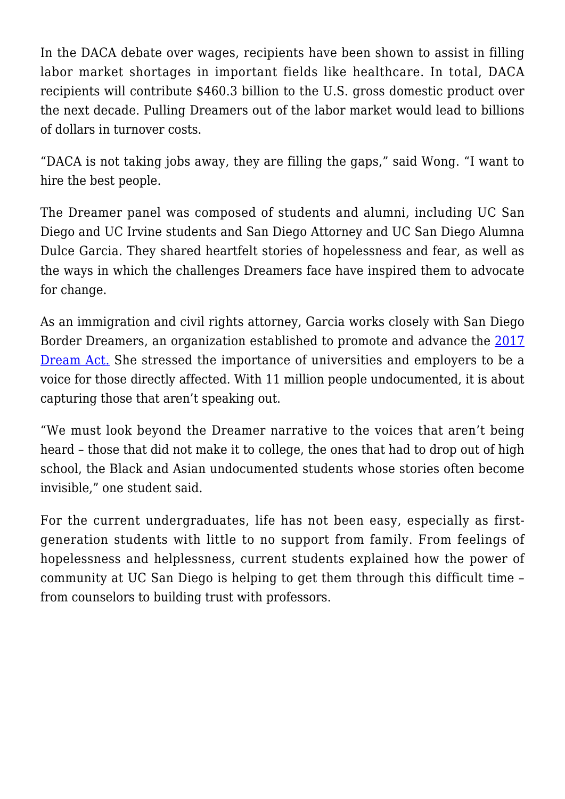In the DACA debate over wages, recipients have been shown to assist in filling labor market shortages in important fields like healthcare. In total, DACA recipients will contribute \$460.3 billion to the U.S. gross domestic product over the next decade. Pulling Dreamers out of the labor market would lead to billions of dollars in turnover costs.

"DACA is not taking jobs away, they are filling the gaps," said Wong. "I want to hire the best people.

The Dreamer panel was composed of students and alumni, including UC San Diego and UC Irvine students and San Diego Attorney and UC San Diego Alumna Dulce Garcia. They shared heartfelt stories of hopelessness and fear, as well as the ways in which the challenges Dreamers face have inspired them to advocate for change.

As an immigration and civil rights attorney, Garcia works closely with San Diego Border Dreamers, an organization established to promote and advance the [2017](https://www.congress.gov/bill/115th-congress/senate-bill/1615) [Dream Act.](https://www.congress.gov/bill/115th-congress/senate-bill/1615) She stressed the importance of universities and employers to be a voice for those directly affected. With 11 million people undocumented, it is about capturing those that aren't speaking out.

"We must look beyond the Dreamer narrative to the voices that aren't being heard – those that did not make it to college, the ones that had to drop out of high school, the Black and Asian undocumented students whose stories often become invisible," one student said.

For the current undergraduates, life has not been easy, especially as firstgeneration students with little to no support from family. From feelings of hopelessness and helplessness, current students explained how the power of community at UC San Diego is helping to get them through this difficult time – from counselors to building trust with professors.